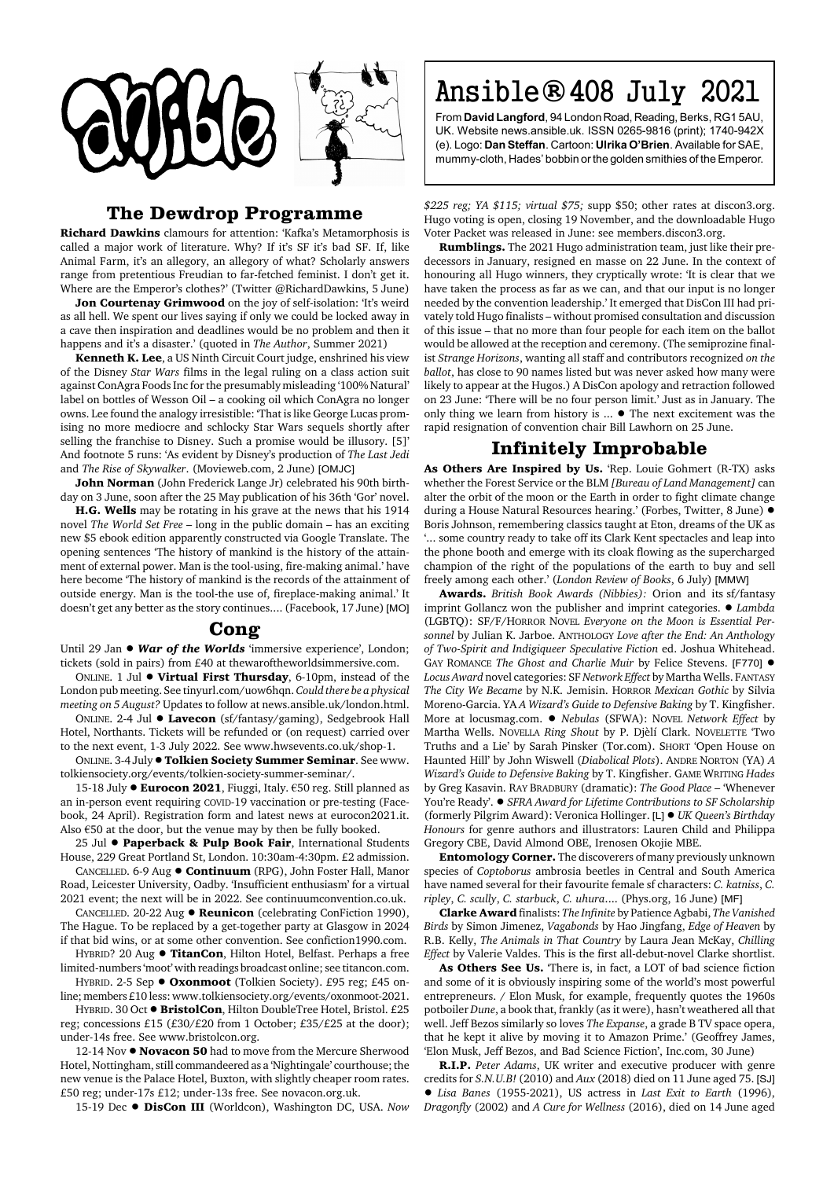

## **The Dewdrop Programme**

**Richard Dawkins** clamours for attention: 'Kafka's Metamorphosis is called a major work of literature. Why? If it's SF it's bad SF. If, like Animal Farm, it's an allegory, an allegory of what? Scholarly answers range from pretentious Freudian to far-fetched feminist. I don't get it. Where are the Emperor's clothes?' (Twitter @RichardDawkins, 5 June)

**Jon Courtenay Grimwood** on the joy of self-isolation: 'It's weird as all hell. We spent our lives saying if only we could be locked away in a cave then inspiration and deadlines would be no problem and then it happens and it's a disaster.' (quoted in *The Author*, Summer 2021)

**Kenneth K. Lee**, a US Ninth Circuit Court judge, enshrined his view of the Disney *Star Wars* films in the legal ruling on a class action suit against ConAgra Foods Inc for the presumably misleading '100% Natural' label on bottles of Wesson Oil – a cooking oil which ConAgra no longer owns. Lee found the analogy irresistible: 'That is like George Lucas promising no more mediocre and schlocky Star Wars sequels shortly after selling the franchise to Disney. Such a promise would be illusory. [5]' And footnote 5 runs: 'As evident by Disney's production of *The Last Jedi* and *The Rise of Skywalker*. (Movieweb.com, 2 June) [OMJC]

**John Norman** (John Frederick Lange Jr) celebrated his 90th birthday on 3 June, soon after the 25 May publication of his 36th 'Gor' novel.

**H.G. Wells** may be rotating in his grave at the news that his 1914 novel *The World Set Free* – long in the public domain – has an exciting new \$5 ebook edition apparently constructed via Google Translate. The opening sentences 'The history of mankind is the history of the attainment of external power. Man is the tool-using, fire-making animal.' have here become 'The history of mankind is the records of the attainment of outside energy. Man is the tool-the use of, fireplace-making animal.' It doesn't get any better as the story continues.... (Facebook, 17 June) [MO]

## **Cong**

Until 29 Jan  $\bullet$  *War of the Worlds* 'immersive experience', London; tickets (sold in pairs) from £40 at thewaroftheworldsimmersive.com.

ONLINE. 1 Jul ! **Virtual First Thursday**, 6-10pm, instead of the London pub meeting. See tinyurl.com/uow6hqn. *Could there be a physical meeting on 5 August?* Updates to follow at news.ansible.uk/london.html.

ONLINE. 2-4 Jul ● Lavecon (sf/fantasy/gaming), Sedgebrook Hall Hotel, Northants. Tickets will be refunded or (on request) carried over to the next event, 1-3 July 2022. See www.hwsevents.co.uk/shop-1.

ONLINE. 3-4 July !**Tolkien Society Summer Seminar**. See www. tolkiensociety.org/events/tolkien-society-summer-seminar/.

15-18 July . Eurocon 2021, Fiuggi, Italy. €50 reg. Still planned as an in-person event requiring COVID-19 vaccination or pre-testing (Facebook, 24 April). Registration form and latest news at eurocon2021.it. Also  $€50$  at the door, but the venue may by then be fully booked.

25 Jul **· Paperback & Pulp Book Fair**, International Students House, 229 Great Portland St, London. 10:30am-4:30pm. £2 admission.

CANCELLED. 6-9 Aug ! **Continuum** (RPG), John Foster Hall, Manor Road, Leicester University, Oadby. 'Insufficient enthusiasm' for a virtual 2021 event; the next will be in 2022. See continuumconvention.co.uk.

CANCELLED. 20-22 Aug ! **Reunicon** (celebrating ConFiction 1990), The Hague. To be replaced by a get-together party at Glasgow in 2024 if that bid wins, or at some other convention. See confiction1990.com.

HYBRID? 20 Aug . TitanCon, Hilton Hotel, Belfast. Perhaps a free limited-numbers 'moot' with readings broadcast online; see titancon.com. HYBRID. 2-5 Sep ● Oxonmoot (Tolkien Society). £95 reg; £45 on-

line; members £10 less: www.tolkiensociety.org/events/oxonmoot-2021. HYBRID. 30 Oct . BristolCon, Hilton DoubleTree Hotel, Bristol. £25 reg; concessions £15 (£30/£20 from 1 October; £35/£25 at the door);

under-14s free. See www.bristolcon.org. 12-14 Nov ! **Novacon 50** had to move from the Mercure Sherwood Hotel, Nottingham, still commandeered as a 'Nightingale' courthouse; the

new venue is the Palace Hotel, Buxton, with slightly cheaper room rates. £50 reg; under-17s £12; under-13s free. See novacon.org.uk.

15-19 Dec ! **DisCon III** (Worldcon), Washington DC, USA. *Now*

## Ansible®408 July 2021

From **David Langford**, 94 London Road, Reading, Berks, RG1 5AU, UK. Website news.ansible.uk. ISSN 0265-9816 (print); 1740-942X (e). Logo: **Dan Steffan**. Cartoon: **Ulrika O'Brien**. Available for SAE, mummy-cloth, Hades' bobbin or the golden smithies of the Emperor.

*\$225 reg; YA \$115; virtual \$75;* supp \$50; other rates at discon3.org. Hugo voting is open, closing 19 November, and the downloadable Hugo Voter Packet was released in June: see members.discon3.org.

**Rumblings.** The 2021 Hugo administration team, just like their predecessors in January, resigned en masse on 22 June. In the context of honouring all Hugo winners, they cryptically wrote: 'It is clear that we have taken the process as far as we can, and that our input is no longer needed by the convention leadership.' It emerged that DisCon III had privately told Hugo finalists – without promised consultation and discussion of this issue – that no more than four people for each item on the ballot would be allowed at the reception and ceremony. (The semiprozine finalist *Strange Horizons*, wanting all staff and contributors recognized *on the ballot*, has close to 90 names listed but was never asked how many were likely to appear at the Hugos.) A DisCon apology and retraction followed on 23 June: 'There will be no four person limit.' Just as in January. The only thing we learn from history is  $\ldots$   $\bullet$  The next excitement was the rapid resignation of convention chair Bill Lawhorn on 25 June.

## **Infinitely Improbable**

**As Others Are Inspired by Us.** 'Rep. Louie Gohmert (R-TX) asks whether the Forest Service or the BLM *[Bureau of Land Management]* can alter the orbit of the moon or the Earth in order to fight climate change during a House Natural Resources hearing.' (Forbes, Twitter, 8 June)  $\bullet$ Boris Johnson, remembering classics taught at Eton, dreams of the UK as '... some country ready to take off its Clark Kent spectacles and leap into the phone booth and emerge with its cloak flowing as the supercharged champion of the right of the populations of the earth to buy and sell freely among each other.' (*London Review of Books*, 6 July) [MMW]

**Awards.** *British Book Awards (Nibbies):* Orion and its sf/fantasy imprint Gollancz won the publisher and imprint categories. ! *Lambda* (LGBTQ): SF/F/HORROR NOVEL *Everyone on the Moon is Essential Personnel* by Julian K. Jarboe. ANTHOLOGY *Love after the End: An Anthology of Two-Spirit and Indigiqueer Speculative Fiction* ed. Joshua Whitehead. GAY ROMANCE *The Ghost and Charlie Muir* by Felice Stevens. [F770]  $\bullet$ *Locus Award* novel categories: SF *Network Effect* by Martha Wells. FANTASY *The City We Became* by N.K. Jemisin. HORROR *Mexican Gothic* by Silvia Moreno-Garcia. YA *A Wizard's Guide to Defensive Baking* by T. Kingfisher. More at locusmag.com. ! *Nebulas* (SFWA): NOVEL *Network Effect* by Martha Wells. NOVELLA *Ring Shout* by P. Djèlí Clark. NOVELETTE 'Two Truths and a Lie' by Sarah Pinsker (Tor.com). SHORT 'Open House on Haunted Hill' by John Wiswell (*Diabolical Plots*). ANDRE NORTON (YA) *A Wizard's Guide to Defensive Baking* by T. Kingfisher. GAME WRITING *Hades* by Greg Kasavin. RAY BRADBURY (dramatic): *The Good Place* – 'Whenever You're Ready'.  $\bullet$  *SFRA Award for Lifetime Contributions to SF Scholarship* (formerly Pilgrim Award): Veronica Hollinger. [L] ! *UK Queen's Birthday Honours* for genre authors and illustrators: Lauren Child and Philippa Gregory CBE, David Almond OBE, Irenosen Okojie MBE.

**Entomology Corner.** The discoverers of many previously unknown species of *Coptoborus* ambrosia beetles in Central and South America have named several for their favourite female sf characters: *C. katniss*, *C. ripley*, *C. scully*, *C. starbuck*, *C. uhura*.... (Phys.org, 16 June) [MF]

**Clarke Award** finalists: *The Infinite* by Patience Agbabi, *The Vanished Birds* by Simon Jimenez, *Vagabonds* by Hao Jingfang, *Edge of Heaven* by R.B. Kelly, *The Animals in That Country* by Laura Jean McKay, *Chilling Effect* by Valerie Valdes. This is the first all-debut-novel Clarke shortlist.

**As Others See Us.** 'There is, in fact, a LOT of bad science fiction and some of it is obviously inspiring some of the world's most powerful entrepreneurs. / Elon Musk, for example, frequently quotes the 1960s potboiler *Dune*, a book that, frankly (as it were), hasn't weathered all that well. Jeff Bezos similarly so loves *The Expanse*, a grade B TV space opera, that he kept it alive by moving it to Amazon Prime.' (Geoffrey James, 'Elon Musk, Jeff Bezos, and Bad Science Fiction', Inc.com, 30 June)

**R.I.P.** *Peter Adams*, UK writer and executive producer with genre credits for *S.N.U.B!* (2010) and *Aux* (2018) died on 11 June aged 75. [SJ] ! *Lisa Banes* (1955-2021), US actress in *Last Exit to Earth* (1996), *Dragonfly* (2002) and *A Cure for Wellness* (2016), died on 14 June aged